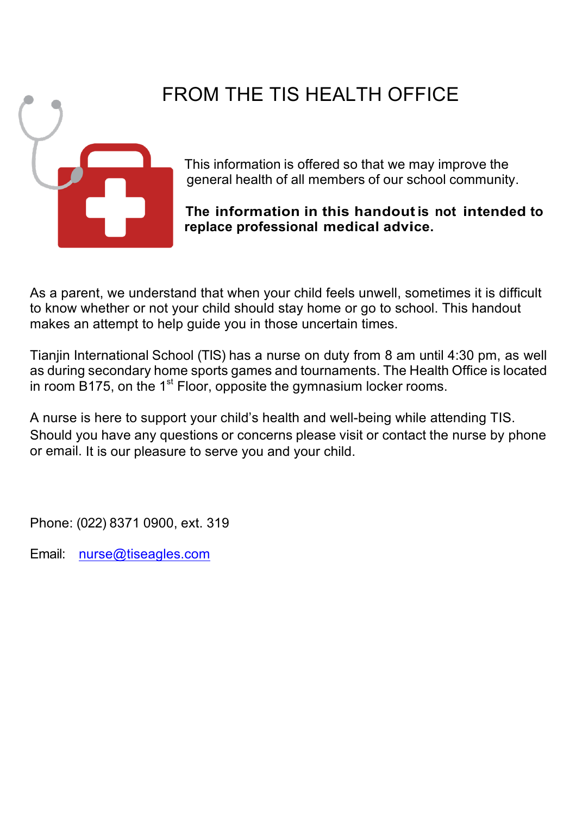

# FROM THE TIS HEALTH OFFICE

This information is offered so that we may improve the general health of all members of our school community.

**The information in this handoutis not intended to replace professional medical advice.**

As a parent, we understand that when your child feels unwell, sometimes it is difficult to know whether or not your child should stay home or go to school. This handout makes an attempt to help guide you in those uncertain times.

Tianjin International School (TIS) has a nurse on duty from 8 am until 4:30 pm, as well as during secondary home sports games and tournaments. The Health Office is located in room B175, on the  $1<sup>st</sup>$  Floor, opposite the gymnasium locker rooms.

A nurse is here to support your child's health and well-being while attending TIS. Should you have any questions or concerns please visit or contact the nurse by phone or email. It is our pleasure to serve you and your child.

Phone: (022) 8371 0900, ext. 319

Email: nurse@tiseagles.com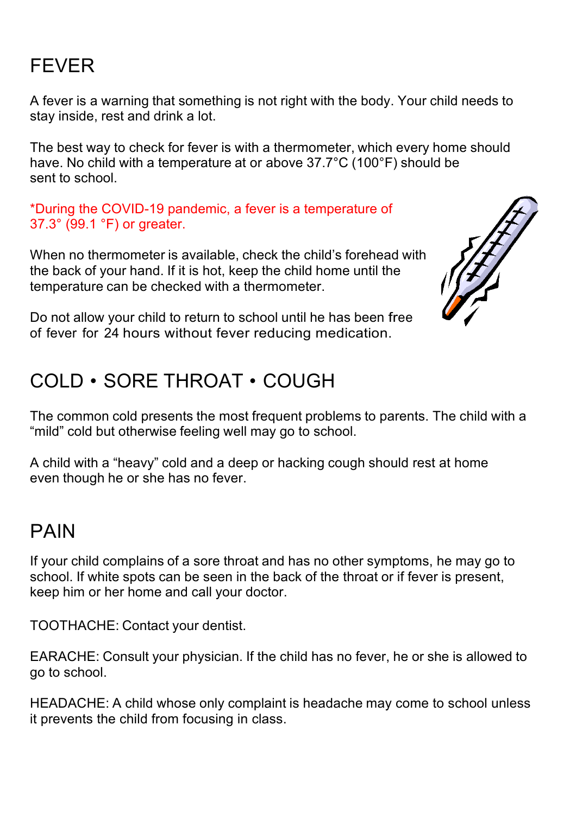# FEVER

A fever is a warning that something is not right with the body. Your child needs to stay inside, rest and drink a lot.

The best way to check for fever is with a thermometer, which every home should have. No child with a temperature at or above 37.7°C (100°F) should be sent to school.

\*During the COVID-19 pandemic, a fever is a temperature of 37.3° (99.1 °F) or greater.

When no thermometer is available, check the child's forehead with the back of your hand. If it is hot, keep the child home until the temperature can be checked with a thermometer.



Do not allow your child to return to school until he has been free of fever for 24 hours without fever reducing medication.

#### COLD • SORE THROAT • COUGH

The common cold presents the most frequent problems to parents. The child with a "mild" cold but otherwise feeling well may go to school.

A child with a "heavy" cold and a deep or hacking cough should rest at home even though he or she has no fever.

#### PAIN

If your child complains of a sore throat and has no other symptoms, he may go to school. If white spots can be seen in the back of the throat or if fever is present, keep him or her home and call your doctor.

TOOTHACHE: Contact your dentist.

EARACHE: Consult your physician. If the child has no fever, he or she is allowed to go to school.

HEADACHE: A child whose only complaint is headache may come to school unless it prevents the child from focusing in class.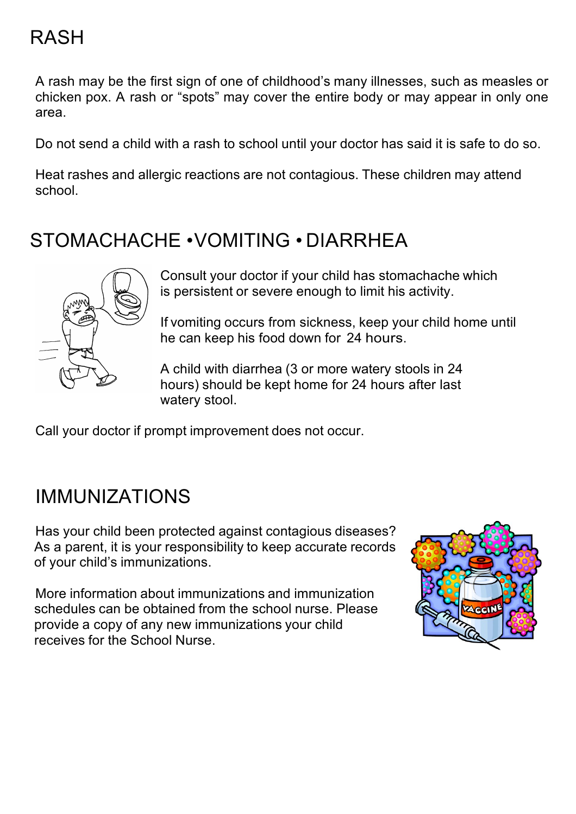# RASH

A rash may be the first sign of one of childhood's many illnesses, such as measles or chicken pox. A rash or "spots" may cover the entire body or may appear in only one area.

Do not send a child with a rash to school until your doctor has said it is safe to do so.

Heat rashes and allergic reactions are not contagious. These children may attend school.

### STOMACHACHE •VOMITING • DIARRHEA



Consult your doctor if your child has stomachache which is persistent or severe enough to limit his activity.

If vomiting occurs from sickness, keep your child home until he can keep his food down for 24 hours.

A child with diarrhea (3 or more watery stools in 24 hours) should be kept home for 24 hours after last watery stool.

Call your doctor if prompt improvement does not occur.

### IMMUNIZATIONS

Has your child been protected against contagious diseases? As a parent, it is your responsibility to keep accurate records of your child's immunizations.

More information about immunizations and immunization schedules can be obtained from the school nurse. Please provide a copy of any new immunizations your child receives for the School Nurse.